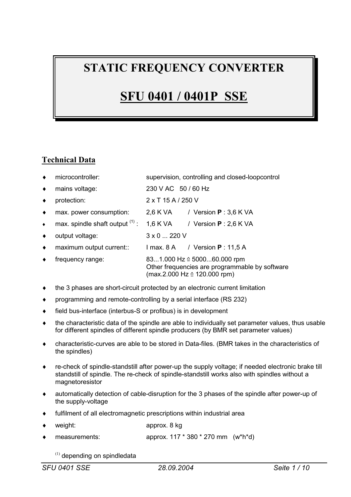# **STATIC FREQUENCY CONVERTER**

# **SFU 0401 / 0401P SSE**

# **Technical Data**

|           | microcontroller:                  | supervision, controlling and closed-loopcontrol                                                                                 |
|-----------|-----------------------------------|---------------------------------------------------------------------------------------------------------------------------------|
| $\bullet$ | mains voltage:                    | 230 V AC 50 / 60 Hz                                                                                                             |
|           | protection:                       | $2 \times$ T 15 A / 250 V                                                                                                       |
| $\bullet$ | max. power consumption:           | 2,6 K VA / Version $P: 3,6$ K VA                                                                                                |
| $\bullet$ | max. spindle shaft output $(1)$ : | 1,6 K VA / Version $P: 2,6$ K VA                                                                                                |
|           | output voltage:                   | $3 \times 0$ 220 V                                                                                                              |
| $\bullet$ | maximum output current::          | $l$ max. 8 A $\rightarrow$ Version <b>P</b> : 11.5 A                                                                            |
|           | frequency range:                  | 831.000 Hz $\textdegree$ 500060.000 rpm<br>Other frequencies are programmable by software<br>$(max.2.000 Hz \cong 120.000 rpm)$ |

- $\bullet$  the 3 phases are short-circuit protected by an electronic current limitation
- programming and remote-controlling by a serial interface (RS 232)
- $\bullet$  field bus-interface (interbus-S or profibus) is in development
- $\bullet$  the characteristic data of the spindle are able to individually set parameter values, thus usable for different spindles of different spindle producers (by BMR set parameter values)
- i characteristic-curves are able to be stored in Data-files. (BMR takes in the characteristics of the spindles)
- re-check of spindle-standstill after power-up the supply voltage; if needed electronic brake till standstill of spindle. The re-check of spindle-standstill works also with spindles without a magnetoresistor
- $\bullet$  automatically detection of cable-disruption for the 3 phases of the spindle after power-up of the supply-voltage
- $\bullet$  fulfilment of all electromagnetic prescriptions within industrial area
- weight: approx. 8 kg
- measurements:  $approx. 117 * 380 * 270 mm (w<sup>*</sup>h<sup>*</sup>d)$ 
	- $(1)$  depending on spindledata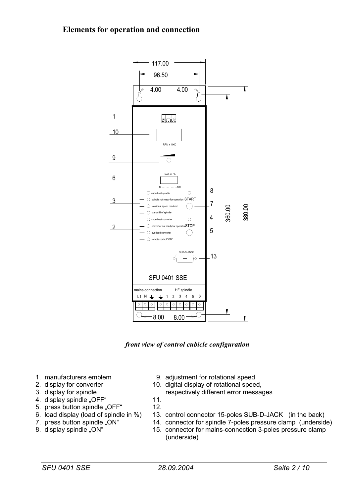# **Elements for operation and connection**



**front view of control cubicle configuration**

- 
- 
- 
- 4. display spindle "OFF" 11.
- 5. press button spindle "OFF" 12.
- 
- 
- 
- 1. manufacturers emblem 9. adjustment for rotational speed
- 2. display for converter 10. digital display of rotational speed,
- 3. display for spindle respectively different error messages
	-
- 6. load display (load of spindle in %) 13. control connector 15-poles SUB-D-JACK (in the back)
- 7. press button spindle "ON" 14. connector for spindle 7-poles pressure clamp (underside)
- 8. display spindle "ON" 15. connector for mains-connection 3-poles pressure clamp (underside)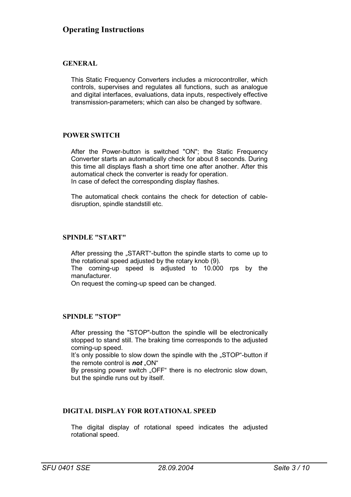# **GENERAL**

This Static Frequency Converters includes a microcontroller, which controls, supervises and regulates all functions, such as analogue and digital interfaces, evaluations, data inputs, respectively effective transmission-parameters; which can also be changed by software.

# **POWER SWITCH**

After the Power-button is switched "ON"; the Static Frequency Converter starts an automatically check for about 8 seconds. During this time all displays flash a short time one after another. After this automatical check the converter is ready for operation. In case of defect the corresponding display flashes.

The automatical check contains the check for detection of cabledisruption, spindle standstill etc.

# **SPINDLE "START"**

After pressing the "START"-button the spindle starts to come up to the rotational speed adjusted by the rotary knob (9).

The coming-up speed is adjusted to 10.000 rps by the manufacturer.

On request the coming-up speed can be changed.

#### **SPINDLE "STOP"**

After pressing the "STOP"-button the spindle will be electronically stopped to stand still. The braking time corresponds to the adjusted coming-up speed.

It's only possible to slow down the spindle with the "STOP"-button if the remote control is **not** "ON"

By pressing power switch "OFF" there is no electronic slow down, but the spindle runs out by itself.

# **DIGITAL DISPLAY FOR ROTATIONAL SPEED**

The digital display of rotational speed indicates the adjusted rotational speed.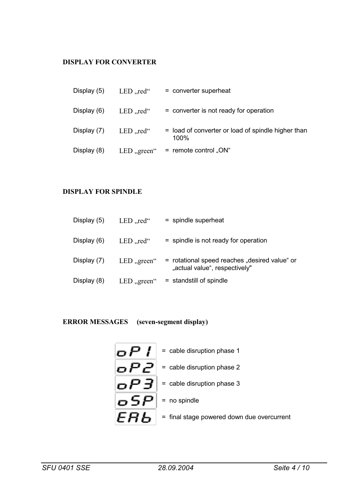# **DISPLAY FOR CONVERTER**

| Display (5) | LED, $\text{red}$ " | = converter superheat                                         |
|-------------|---------------------|---------------------------------------------------------------|
| Display (6) | LED, $\text{red}$ " | = converter is not ready for operation                        |
| Display (7) | LED,,red $\lq$      | = load of converter or load of spindle higher than<br>$100\%$ |
| Display (8) | LED, green"         | = remote control " $ON$ "                                     |

# **DISPLAY FOR SPINDLE**

| Display (5) | LED,,red $\lq$      | = spindle superheat                                                            |
|-------------|---------------------|--------------------------------------------------------------------------------|
| Display (6) | LED, $\text{red}$ " | $=$ spindle is not ready for operation                                         |
| Display (7) | LED, green          | = rotational speed reaches "desired value" or<br>"actual value", respectively" |
| Display (8) | LED, green"         | $=$ standstill of spindle                                                      |

# **ERROR MESSAGES (seven-segment display)**

|     | $\bullet$ $\bullet$ $\bullet$ $\bullet$ $\bullet$ $\bullet$ = cable disruption phase 1                         |
|-----|----------------------------------------------------------------------------------------------------------------|
| oP2 | $=$ cable disruption phase 2                                                                                   |
| oP3 | = cable disruption phase 3                                                                                     |
|     | $ \boldsymbol{\sigma} \textbf{\textrm{S}} \boldsymbol{P} $ = no spindle                                        |
|     | $\left  {{\bm{\epsilon}} {\bm{\mathsf{H}}}\bm{\mathsf{b}}} \right $ = final stage powered down due overcurrent |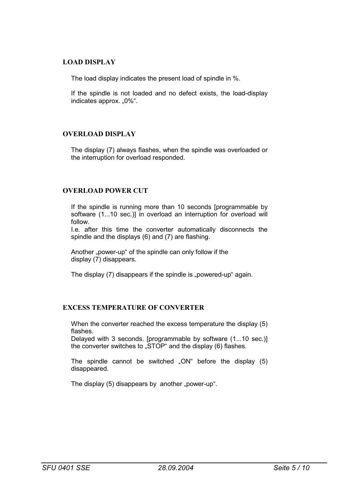# **LOAD DISPLAY**

The load display indicates the present load of spindle in %.

If the spindle is not loaded and no defect exists, the load-display indicates approx. "0%".

# **OVERLOAD DISPLAY**

The display (7) always flashes, when the spindle was overloaded or the interruption for overload responded.

# **OVERLOAD POWER CUT**

If the spindle is running more than 10 seconds [programmable by software (1...10 sec.)] in overload an interruption for overload will follow.

I.e. after this time the converter automatically disconnects the spindle and the displays (6) and (7) are flashing.

Another "power-up" of the spindle can only follow if the display (7) disappears.

The display (7) disappears if the spindle is "powered-up" again.

# **EXCESS TEMPERATURE OF CONVERTER**

When the converter reached the excess temperature the display (5) flashes.

Delayed with 3 seconds. [programmable by software (1...10 sec.)] the converter switches to "STOP" and the display (6) flashes.

The spindle cannot be switched " $ON$ " before the display  $(5)$ disappeared.

The display  $(5)$  disappears by another "power-up".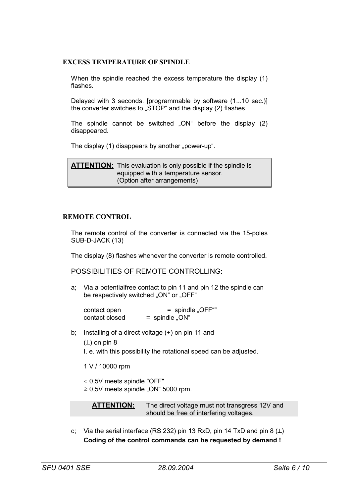### **EXCESS TEMPERATURE OF SPINDLE**

When the spindle reached the excess temperature the display (1) flashes.

Delayed with 3 seconds. [programmable by software (1...10 sec.)] the converter switches to "STOP" and the display (2) flashes.

The spindle cannot be switched " $ON$ " before the display  $(2)$ disappeared.

The display (1) disappears by another "power-up".

**ATTENTION:** This evaluation is only possible if the spindle is equipped with a temperature sensor. (Option after arrangements)

#### **REMOTE CONTROL**

The remote control of the converter is connected via the 15-poles SUB-D-JACK (13)

The display (8) flashes whenever the converter is remote controlled.

#### POSSIBILITIES OF REMOTE CONTROLLING:

a; Via a potentialfree contact to pin 11 and pin 12 the spindle can be respectively switched "ON" or "OFF"

contact open = spindle "OFF""  $contact closed$  = spindle " $ON$ "

b; Installing of a direct voltage (+) on pin 11 and

 $(L)$  on pin 8

I. e. with this possibility the rotational speed can be adjusted.

1 V / 10000 rpm

< 0,5V meets spindle "OFF"

 $\geq$  0,5V meets spindle "ON" 5000 rpm.

**ATTENTION:** The direct voltage must not transgress 12V and should be free of interfering voltages.

c; Via the serial interface (RS 232) pin 13 RxD, pin 14 TxD and pin 8  $(L)$ **Coding of the control commands can be requested by demand !**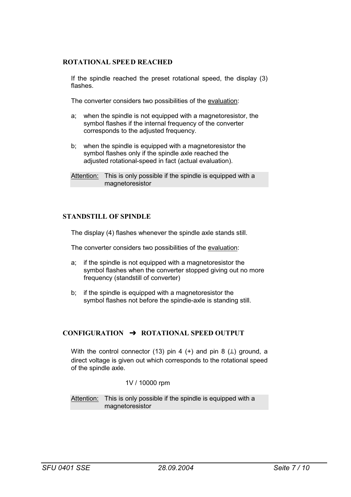### **ROTATIONAL SPEED REACHED**

If the spindle reached the preset rotational speed, the display (3) flashes.

The converter considers two possibilities of the evaluation:

- a; when the spindle is not equipped with a magnetoresistor, the symbol flashes if the internal frequency of the converter corresponds to the adjusted frequency.
- b; when the spindle is equipped with a magnetoresistor the symbol flashes only if the spindle axle reached the adjusted rotational-speed in fact (actual evaluation).

# **STANDSTILL OF SPINDLE**

The display (4) flashes whenever the spindle axle stands still.

The converter considers two possibilities of the evaluation:

- a; if the spindle is not equipped with a magnetoresistor the symbol flashes when the converter stopped giving out no more frequency (standstill of converter)
- b; if the spindle is equipped with a magnetoresistor the symbol flashes not before the spindle-axle is standing still.

#### **CONFIGURATION £ ROTATIONAL SPEED OUTPUT**

With the control connector (13) pin 4 (+) and pin 8  $(L)$  ground, a direct voltage is given out which corresponds to the rotational speed of the spindle axle.

1V / 10000 rpm

Attention: This is only possible if the spindle is equipped with a magnetoresistor

Attention: This is only possible if the spindle is equipped with a magnetoresistor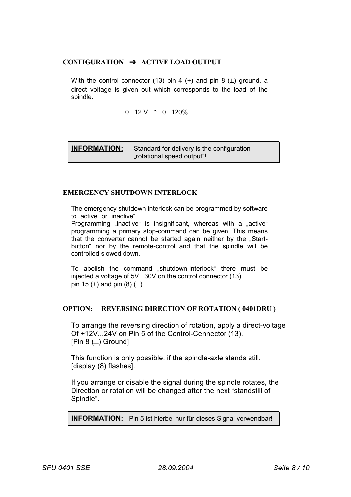# **CONFIGURATION £ ACTIVE LOAD OUTPUT**

With the control connector (13) pin 4 (+) and pin 8  $(L)$  ground, a direct voltage is given out which corresponds to the load of the spindle.

 $0...12$  V  $\triangleq$  0...120%

**INFORMATION:** Standard for delivery is the configuration "rotational speed output"!

# **EMERGENCY SHUTDOWN INTERLOCK**

The emergency shutdown interlock can be programmed by software to "active" or "inactive".

Programming "inactive" is insignificant, whereas with a "active" programming a primary stop-command can be given. This means that the converter cannot be started again neither by the "Startbutton" nor by the remote-control and that the spindle will be controlled slowed down.

To abolish the command "shutdown-interlock" there must be injected a voltage of 5V...30V on the control connector (13) pin 15 (+) and pin  $(8)$  ( $\perp$ ).

### **OPTION: REVERSING DIRECTION OF ROTATION ( 0401DRU )**

To arrange the reversing direction of rotation, apply a direct-voltage Of +12V...24V on Pin 5 of the Control-Cennector (13). [Pin 8 (┴) Ground]

This function is only possible, if the spindle-axle stands still. [display (8) flashes].

If you arrange or disable the signal during the spindle rotates, the Direction or rotation will be changed after the next "standstill of Spindle".

**INFORMATION:** Pin 5 ist hierbei nur für dieses Signal verwendbar!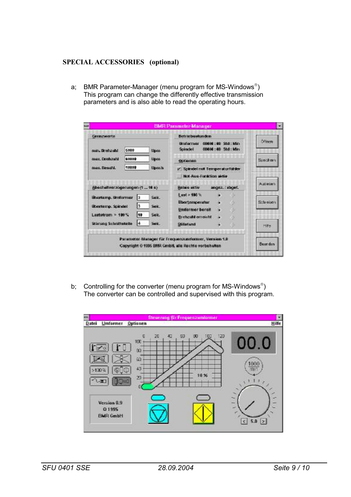# **SPECIAL ACCESSORIES (optional)**

a; BMR Parameter-Manager (menu program for MS-Windows<sup>®</sup>) This program can change the differently effective transmission parameters and is also able to read the operating hours.

| <b>Grenzwerte</b>                                                                                                        |       |                       | Betriebsstunden                                                                                  |
|--------------------------------------------------------------------------------------------------------------------------|-------|-----------------------|--------------------------------------------------------------------------------------------------|
| min. Drehaabil                                                                                                           | 5000  | Upon<br>Upon<br>Upm3s | Offingh<br>00000 : 00 Std : Min<br><b>Unidentified</b><br>00000 : 00 Std : Min<br><b>Scindel</b> |
| max. Drehzahl                                                                                                            | 60000 |                       | Seechers<br>Optionen                                                                             |
| man, Resets.                                                                                                             | 10808 |                       | v Spindel nat Temperaturfühler.                                                                  |
|                                                                                                                          |       |                       | Not-Aus-Funktion aktiv                                                                           |
| (Abschalteerzögerungen (1  18 s.)                                                                                        |       |                       | A stieben<br>angez, Jabgef,<br>Relais aktiv                                                      |
| <b>Ubartamp. Uniformer</b><br>Sek.<br>łз<br>lз<br>übertemp. Spindel<br>Sek.<br>10<br>Lastatrom $\times$ 100 $\%$<br>Sek. |       |                       | $L$ ost = 100 $\%$<br>Schreiben<br><b>Ubertemperatur</b>                                         |
|                                                                                                                          |       |                       | Uniformer bereit                                                                                 |
| Störung Schnittstelle                                                                                                    | I4    | Sek.                  | <b>Drehzahl erreicht</b>                                                                         |
|                                                                                                                          |       |                       | Stillatand<br><b>Hilfe</b>                                                                       |
|                                                                                                                          |       |                       | Parameter-Manager für Frequenzumformer, Version 1.0                                              |

b; Controlling for the converter (menu program for MS-Windows $^{\circ}$ ) The converter can be controlled and supervised with this program.